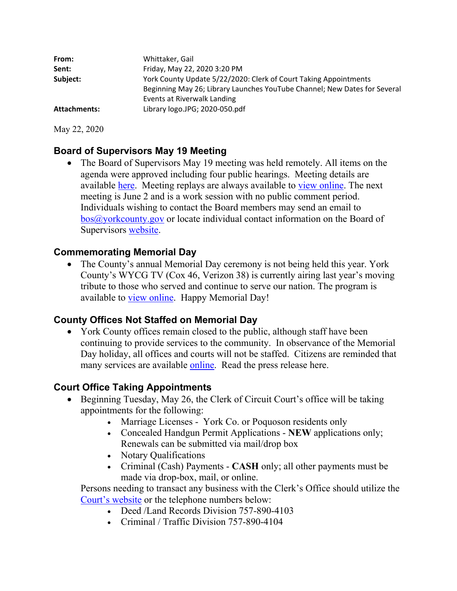| From:               | Whittaker, Gail                                                           |
|---------------------|---------------------------------------------------------------------------|
| Sent:               | Friday, May 22, 2020 3:20 PM                                              |
| Subject:            | York County Update 5/22/2020: Clerk of Court Taking Appointments          |
|                     | Beginning May 26; Library Launches YouTube Channel; New Dates for Several |
|                     | Events at Riverwalk Landing                                               |
| <b>Attachments:</b> | Library logo.JPG; 2020-050.pdf                                            |

May 22, 2020

# **Board of Supervisors May 19 Meeting**

• The Board of Supervisors May 19 meeting was held remotely. All items on the agenda were approved including four public hearings. Meeting details are available here. Meeting replays are always available to view online. The next meeting is June 2 and is a work session with no public comment period. Individuals wishing to contact the Board members may send an email to bos@yorkcounty.gov or locate individual contact information on the Board of Supervisors website.

### **Commemorating Memorial Day**

 The County's annual Memorial Day ceremony is not being held this year. York County's WYCG TV (Cox 46, Verizon 38) is currently airing last year's moving tribute to those who served and continue to serve our nation. The program is available to view online. Happy Memorial Day!

### **County Offices Not Staffed on Memorial Day**

• York County offices remain closed to the public, although staff have been continuing to provide services to the community. In observance of the Memorial Day holiday, all offices and courts will not be staffed. Citizens are reminded that many services are available online. Read the press release here.

## **Court Office Taking Appointments**

- Beginning Tuesday, May 26, the Clerk of Circuit Court's office will be taking appointments for the following:
	- Marriage Licenses York Co. or Poquoson residents only
	- Concealed Handgun Permit Applications **NEW** applications only; Renewals can be submitted via mail/drop box
	- Notary Qualifications
	- Criminal (Cash) Payments **CASH** only; all other payments must be made via drop-box, mail, or online.

Persons needing to transact any business with the Clerk's Office should utilize the Court's website or the telephone numbers below:

- Deed /Land Records Division 757-890-4103
- Criminal / Traffic Division 757-890-4104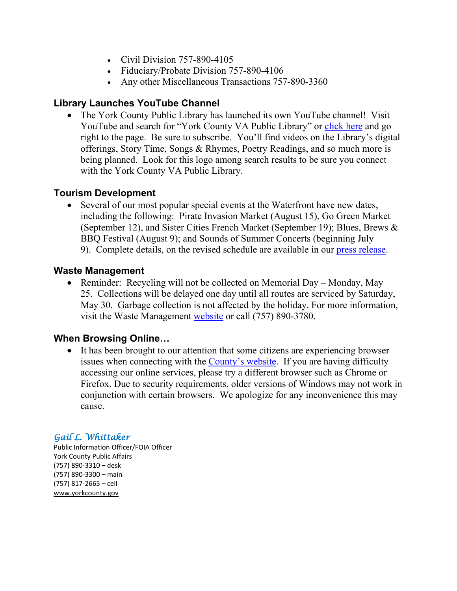- Civil Division  $757-890-4105$
- Fiduciary/Probate Division 757-890-4106
- Any other Miscellaneous Transactions 757-890-3360

### **Library Launches YouTube Channel**

• The York County Public Library has launched its own YouTube channel! Visit YouTube and search for "York County VA Public Library" or click here and go right to the page. Be sure to subscribe. You'll find videos on the Library's digital offerings, Story Time, Songs & Rhymes, Poetry Readings, and so much more is being planned. Look for this logo among search results to be sure you connect with the York County VA Public Library.

### **Tourism Development**

 Several of our most popular special events at the Waterfront have new dates, including the following: Pirate Invasion Market (August 15), Go Green Market (September 12), and Sister Cities French Market (September 19); Blues, Brews & BBQ Festival (August 9); and Sounds of Summer Concerts (beginning July 9). Complete details, on the revised schedule are available in our press release.

#### **Waste Management**

• Reminder: Recycling will not be collected on Memorial Day – Monday, May 25. Collections will be delayed one day until all routes are serviced by Saturday, May 30. Garbage collection is not affected by the holiday. For more information, visit the Waste Management website or call (757) 890-3780.

### **When Browsing Online…**

• It has been brought to our attention that some citizens are experiencing browser issues when connecting with the County's website. If you are having difficulty accessing our online services, please try a different browser such as Chrome or Firefox. Due to security requirements, older versions of Windows may not work in conjunction with certain browsers. We apologize for any inconvenience this may cause.

### *Gail L. Whittaker*

Public Information Officer/FOIA Officer York County Public Affairs (757) 890‐3310 – desk (757) 890‐3300 – main (757) 817‐2665 – cell www.yorkcounty.gov